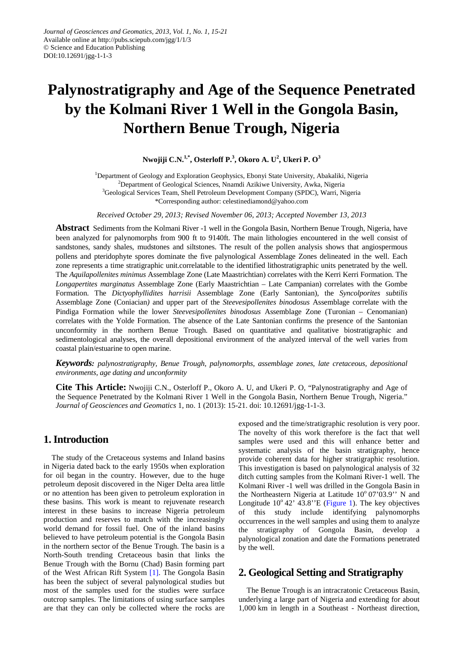# **Palynostratigraphy and Age of the Sequence Penetrated by the Kolmani River 1 Well in the Gongola Basin, Northern Benue Trough, Nigeria**

**Nwojiji C.N. 1,\*, Osterloff P. 3 , Okoro A. U<sup>2</sup> , Ukeri P. O<sup>3</sup>**

<sup>1</sup>Department of Geology and Exploration Geophysics, Ebonyi State University, Abakaliki, Nigeria <sup>2</sup>Department of Geological Sciences, Nnamdi Azikiwe University, Awka, Nigeria <sup>3</sup>Geological Services Team, Shell Petroleum Development Company (SPDC), Warri, Nigeria \*Corresponding author: celestinediamond@yahoo.com

*Received October 29, 2013; Revised November 06, 2013; Accepted November 13, 2013*

**Abstract** Sediments from the Kolmani River -1 well in the Gongola Basin, Northern Benue Trough, Nigeria, have been analyzed for palynomorphs from 900 ft to 9140ft. The main lithologies encountered in the well consist of sandstones, sandy shales, mudstones and siltstones. The result of the pollen analysis shows that angiospermous pollens and pteridophyte spores dominate the five palynological Assemblage Zones delineated in the well. Each zone represents a time stratigraphic unit.correlatable to the identified lithostratigraphic units penetrated by the well. The *Aquilapollenites minimus* Assemblage Zone (Late Maastrichtian) correlates with the Kerri Kerri Formation. The *Longapertites marginatus* Assemblage Zone (Early Maastrichtian – Late Campanian) correlates with the Gombe Formation. The *Dictyophyllidites harrisii* Assemblage Zone (Early Santonian), the *Syncolporites subtilis*  Assemblage Zone (Coniacian*)* and upper part of the *Steevesipollenites binodosus* Assemblage correlate with the Pindiga Formation while the lower *Steevesipollenites binodosus* Assemblage Zone (Turonian – Cenomanian) correlates with the Yolde Formation. The absence of the Late Santonian confirms the presence of the Santonian unconformity in the northern Benue Trough. Based on quantitative and qualitative biostratigraphic and sedimentological analyses, the overall depositional environment of the analyzed interval of the well varies from coastal plain/estuarine to open marine.

*Keywords: palynostratigraphy, Benue Trough, palynomorphs, assemblage zones, late cretaceous, depositional environments, age dating and unconformity*

**Cite This Article:** Nwojiji C.N., Osterloff P., Okoro A. U, and Ukeri P. O, "Palynostratigraphy and Age of the Sequence Penetrated by the Kolmani River 1 Well in the Gongola Basin, Northern Benue Trough, Nigeria." *Journal of Geosciences and Geomatics* 1, no. 1 (2013): 15-21. doi: 10.12691/jgg-1-1-3.

## **1. Introduction**

The study of the Cretaceous systems and Inland basins in Nigeria dated back to the early 1950s when exploration for oil began in the country. However, due to the huge petroleum deposit discovered in the Niger Delta area little or no attention has been given to petroleum exploration in these basins. This work is meant to rejuvenate research interest in these basins to increase Nigeria petroleum production and reserves to match with the increasingly world demand for fossil fuel. One of the inland basins believed to have petroleum potential is the Gongola Basin in the northern sector of the Benue Trough. The basin is a North-South trending Cretaceous basin that links the Benue Trough with the Bornu (Chad) Basin forming part of the West African Rift System [\[1\].](#page-5-0) The Gongola Basin has been the subject of several palynological studies but most of the samples used for the studies were surface outcrop samples. The limitations of using surface samples are that they can only be collected where the rocks are exposed and the time/stratigraphic resolution is very poor. The novelty of this work therefore is the fact that well samples were used and this will enhance better and systematic analysis of the basin stratigraphy, hence provide coherent data for higher stratigraphic resolution. This investigation is based on palynological analysis of 32 ditch cutting samples from the Kolmani River-1 well. The Kolmani River -1 well was drilled in the Gongola Basin in the Northeastern Nigeria at Latitude  $10^{\circ}$  07'03.9" N and Longitude  $10^{\circ}$  42' 43.8" E [\(Figure 1\)](#page-1-0). The key objectives of this study include identifying palynomorphs occurrences in the well samples and using them to analyze the stratigraphy of Gongola Basin, develop a palynological zonation and date the Formations penetrated by the well.

## **2. Geological Setting and Stratigraphy**

The Benue Trough is an intracratonic Cretaceous Basin, underlying a large part of Nigeria and extending for about 1,000 km in length in a Southeast - Northeast direction,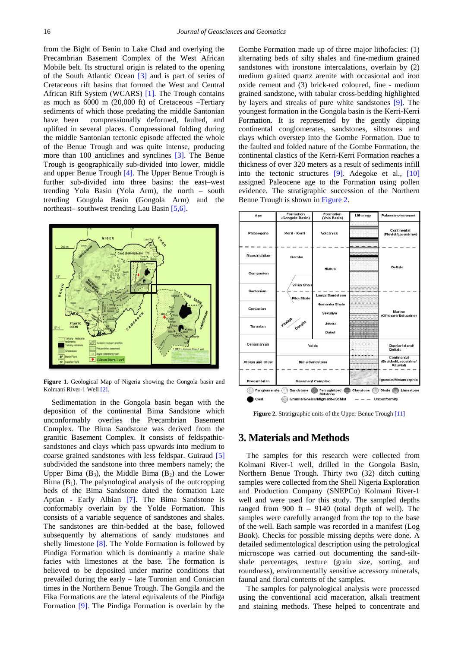from the Bight of Benin to Lake Chad and overlying the Precambrian Basement Complex of the West African Mobile belt. Its structural origin is related to the opening of the South Atlantic Ocean [\[3\]](#page-5-1) and is part of series of Cretaceous rift basins that formed the West and Central African Rift System (WCARS) [\[1\].](#page-5-0) The Trough contains as much as 6000 m (20,000 ft) of Cretaceous –Tertiary sediments of which those predating the middle Santonian have been compressionally deformed, faulted, and uplifted in several places. Compressional folding during the middle Santonian tectonic episode affected the whole of the Benue Trough and was quite intense, producing more than 100 anticlines and synclines [\[3\].](#page-5-1) The Benue Trough is geographically sub-divided into lower, middle and upper Benue Trough [\[4\].](#page-5-2) The Upper Benue Trough is further sub-divided into three basins: the east–west trending Yola Basin (Yola Arm), the north – south trending Gongola Basin (Gongola Arm) and the northeast– southwest trending Lau Basin [\[5,6\].](#page-5-3)

<span id="page-1-0"></span>

**Figure 1**. Geological Map of Nigeria showing the Gongola basin and Kolmani River-1 Wel[l \[2\].](#page-5-4)

Sedimentation in the Gongola basin began with the deposition of the continental Bima Sandstone which unconformably overlies the Precambrian Basement Complex. The Bima Sandstone was derived from the granitic Basement Complex. It consists of feldspathicsandstones and clays which pass upwards into medium to coarse grained sandstones with less feldspar. Guiraud [\[5\]](#page-5-3) subdivided the sandstone into three members namely; the Upper Bima  $(B_3)$ , the Middle Bima  $(B_2)$  and the Lower Bima  $(B_1)$ . The palynological analysis of the outcropping beds of the Bima Sandstone dated the formation Late Aptian - Early Albian [\[7\].](#page-5-5) The Bima Sandstone is conformably overlain by the Yolde Formation. This consists of a variable sequence of sandstones and shales. The sandstones are thin-bedded at the base, followed subsequently by alternations of sandy mudstones and shelly limestone [\[8\].](#page-6-0) The Yolde Formation is followed by Pindiga Formation which is dominantly a marine shale facies with limestones at the base. The formation is believed to be deposited under marine conditions that prevailed during the early – late Turonian and Coniacian times in the Northern Benue Trough. The Gongila and the Fika Formations are the lateral equivalents of the Pindiga Formation [\[9\].](#page-6-1) The Pindiga Formation is overlain by the

Gombe Formation made up of three major lithofacies: (1) alternating beds of silty shales and fine-medium grained sandstones with ironstone intercalations, overlain by (2) medium grained quartz arenite with occasional and iron oxide cement and (3) brick-red coloured, fine - medium grained sandstone, with tabular cross-bedding highlighted by layers and streaks of pure white sandstones [\[9\].](#page-6-1) The youngest formation in the Gongola basin is the Kerri-Kerri Formation. It is represented by the gently dipping continental conglomerates, sandstones, siltstones and clays which overstep into the Gombe Formation. Due to the faulted and folded nature of the Gombe Formation, the continental clastics of the Kerri-Kerri Formation reaches a thickness of over 320 meters as a result of sediments infill into the tectonic structures [\[9\].](#page-6-1) Adegoke et al., [\[10\]](#page-6-2) assigned Paleocene age to the Formation using pollen evidence. The stratigraphic succession of the Northern Benue Trough is shown in [Figure 2.](#page-1-1)

<span id="page-1-1"></span>

**Figure 2.** Stratigraphic units of the Upper Benue Troug[h \[11\]](#page-6-3)

## **3. Materials and Methods**

The samples for this research were collected from Kolmani River-1 well, drilled in the Gongola Basin, Northern Benue Trough. Thirty two (32) ditch cutting samples were collected from the Shell Nigeria Exploration and Production Company (SNEPCo) Kolmani River-1 well and were used for this study. The sampled depths ranged from 900 ft – 9140 (total depth of well). The samples were carefully arranged from the top to the base of the well. Each sample was recorded in a manifest (Log Book). Checks for possible missing depths were done. A detailed sedimentological description using the petrological microscope was carried out documenting the sand-siltshale percentages, texture (grain size, sorting, and roundness), environmentally sensitive accessory minerals, faunal and floral contents of the samples.

The samples for palynological analysis were processed using the conventional acid maceration, alkali treatment and staining methods. These helped to concentrate and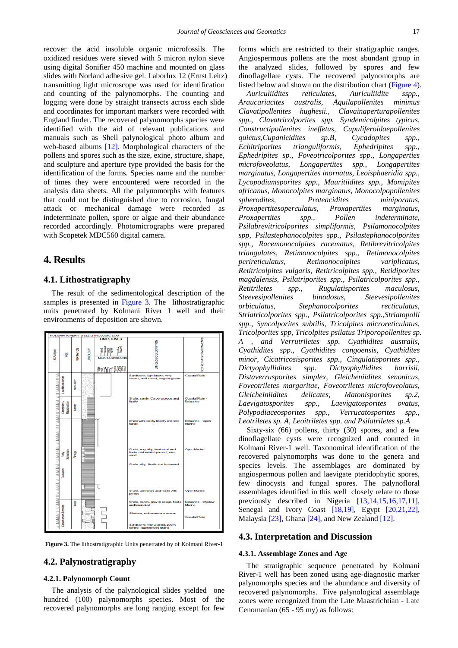recover the acid insoluble organic microfossils. The oxidized residues were sieved with 5 micron nylon sieve using digital Sonifier 450 machine and mounted on glass slides with Norland adhesive gel. Laborlux 12 (Ernst Leitz) transmitting light microscope was used for identification and counting of the palynomorphs. The counting and logging were done by straight transects across each slide and coordinates for important markers were recorded with England finder. The recovered palynomorphs species were identified with the aid of relevant publications and manuals such as Shell palynological photo album and web-based albums [\[12\].](#page-6-4) Morphological characters of the pollens and spores such as the size, exine, structure, shape, and sculpture and aperture type provided the basis for the identification of the forms. Species name and the number of times they were encountered were recorded in the analysis data sheets. All the palynomorphs with features that could not be distinguished due to corrosion, fungal attack or mechanical damage were recorded as indeterminate pollen, spore or algae and their abundance recorded accordingly. Photomicrographs were prepared with Scopetek MDC560 digital camera.

## **4. Results**

## **4.1. Lithostratigraphy**

The result of the sedimentological description of the samples is presented in [Figure 3.](#page-2-0) The lithostratigraphic units penetrated by Kolmani River 1 well and their environments of deposition are shown.

<span id="page-2-0"></span>

**Figure 3.** The lithostratigraphic Units penetrated by of Kolmani River-1

## **4.2. Palynostratigraphy**

## **4.2.1. Palynomorph Count**

The analysis of the palynological slides yielded one hundred (100) palynomorphs species. Most of the recovered palynomorphs are long ranging except for few forms which are restricted to their stratigraphic ranges. Angiospermous pollens are the most abundant group in the analyzed slides, followed by spores and few dinoflagellate cysts. The recovered palynomorphs are listed below and shown on the distribution chart [\(Figure 4\)](#page-3-0).

*Auriculiidites reticulates, Auriculiidite sspp., Araucariacites australis, Aquilapollenites minimus Clavatipollenites hughesii., Clavainaperturapollenites spp., Clavatricolporites spp. Syndemicolpites typicus, Constructipollenites ineffetus, Cupuliferoidaepollenites quietus,Cupanieidites sp.B, Cycadopites spp., Echitriporites trianguliformis, Ephedripites spp., Ephedripites sp., Foveotricolporites spp., Longaperties microfoveolatus, Longapertites spp., Longapertites marginatus, Longapertites inornatus, Leoisphaeridia spp., Lycopodiumsporites spp., Mauritiidites spp., Momipites africanus, Monocolpites marginatus, Monocolpopollenites spherodites, Proteacidites miniporatus, Proxapertitesoperculatus, Proxapertites marginatus, Proxapertites spp., Pollen indeterminate, Psilabrevitricolporites simpliformis, Psilamonocolpites spp, Psilastephanocolpites spp., Psilastephanocolporites spp., Racemonocolpites racematus, Retibrevitricolpites triangulates, Retimonocolpites spp., Retimonocolpites perireticulatus, Retimonocolpites variplicatus, Retitricolpites vulgaris, Retitricolpites spp., Retidiporites magdalensis, Psilatriporites spp., Psilatricolporites spp., Retitriletes spp., Rugulatisporites maculosus, Steevesipollenites binodosus, Steevesipollenites orbiculatus, Stephanocolporites recticulatus, Striatricolporites spp., Psilatricolporites spp.,Striatopolli spp., Syncolporites subtilis, Tricolpites microreticulatus, Tricolporites spp, Tricolpites psilatus Triporopollenites sp. A , and Verrutriletes spp. Cyathidites australis, Cyathidites spp., Cyathidites congoensis, Cyathidites minor, Cicatricosisporites spp., Cingulatisporites spp., Dictyophyllidites spp. Dictyophyllidites harrisii, Distaverrusporites simplex, Gleicheniidites senonicus, Foveotriletes margaritae, Foveotriletes microfoveolatus, Gleicheiniidites delicates, Matonisporites sp.2, Laevigatosporites spp., Laevigatosporites ovatus, Polypodiaceosporites spp., Verrucatosporites spp., Leotriletes sp. A, Leoitriletes spp. and Psilatriletes sp.A* 

Sixty-six (66) pollens, thirty (30) spores, and a few dinoflagellate cysts were recognized and counted in Kolmani River-1 well. Taxonomical identification of the recovered palynomorphs was done to the genera and species levels. The assemblages are dominated by angiospermous pollen and laevigate pteridophytic spores, few dinocysts and fungal spores. The palynofloral assemblages identified in this well closely relate to those previously described in Nigeria [\[13,14,15,16,17,11\],](#page-6-5) Senegal and Ivory Coast [\[18,19\],](#page-6-6) Egypt [\[20,21,22\],](#page-6-7) Malaysia [\[23\],](#page-6-8) Ghana [\[24\],](#page-6-9) and New Zealand [\[12\].](#page-6-4)

### **4.3. Interpretation and Discussion**

#### **4.3.1. Assemblage Zones and Age**

The stratigraphic sequence penetrated by Kolmani River-1 well has been zoned using age-diagnostic marker palynomorphs species and the abundance and diversity of recovered palynomorphs. Five palynological assemblage zones were recognized from the Late Maastrichtian - Late Cenomanian (65 - 95 my) as follows: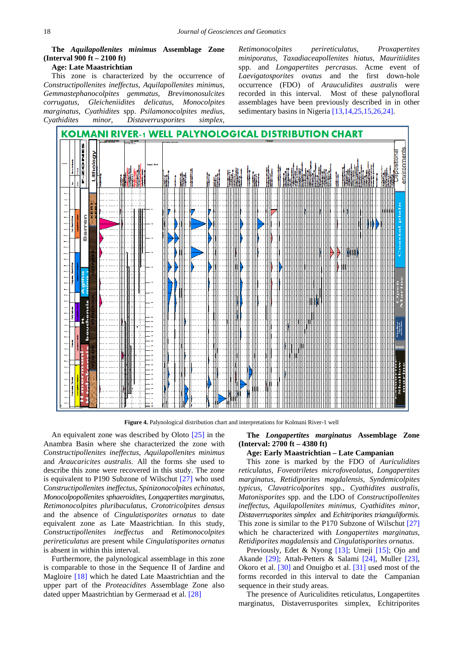**The** *Aquilapollenites minimus* **Assemblage Zone (Interval 900 ft – 2100 ft)**

#### **Age: Late Maastrichtian**

This zone is characterized by the occurrence of *Constructipollenites ineffectus, Aquilapollenites minimus, Gemmastephanocolpites gemmatus, Brevimonosulcites corrugatus, Gleicheniidites delicatus, Monocolpites marginatus, Cyathidites* spp. *Psilamonocolpites medius, Cyathidites minor, Distaverrusporites simplex,* 

*Retimonocolpites perireticulatus, Proxapertites miniporatus, Taxadiaceapollenites hiatus, Mauritiidites* spp. and *Longapertites percrasus*. Acme event of *Laevigatosporites ovatus* and the first down-hole occurrence (FDO) of *Arauculidites australis* were recorded in this interval. Most of these palynofloral assemblages have been previously described in in other sedimentary basins in Nigeria [\[13,14,25,15,26,24\].](#page-6-5)

<span id="page-3-0"></span>

**Figure 4.** Palynological distribution chart and interpretations for Kolmani River-1 well

An equivalent zone was described by Oloto [\[25\]](#page-6-10) in the Anambra Basin where she characterized the zone with *Constructipollenites ineffectus*, *Aquilapollenites minimus* and *Araucaricites australis*. All the forms she used to describe this zone were recovered in this study. The zone is equivalent to P190 Subzone of Wilschut [\[27\]](#page-6-11) who used *Constructipollenites ineffectus*, *Spinizonocolpites echinatus*, *Monocolpopollenites sphaeroidites*, *Longapertites marginatus*, *Retimonocolpites pluribaculatus*, *Crototricolpites densus* and the absence of *Cingulatisporites ornatus* to date equivalent zone as Late Maastrichtian. In this study, *Constructipollenites ineffectus* and *Retimonocolpites perireticulatus* are present while *Cingulatisporites ornatus*  is absent in within this interval.

Furthermore, the palynological assemblage in this zone is comparable to those in the Sequence II of Jardine and Magloire [\[18\]](#page-6-6) which he dated Late Maastrichtian and the upper part of the *Proteacidites* Assemblage Zone also dated upper Maastrichtian by Germeraad et al. [\[28\]](#page-6-12)

**The** *Longapertites marginatus* **Assemblage Zone (Interval: 2700 ft – 4380 ft)**

## **Age: Early Maastrichtian – Late Campanian**

This zone is marked by the FDO of *Auriculidites reticulatus, Foveotriletes microfoveolatus, Longapertites marginatus, Retidiporites magdalensis, Syndemicolpites typicus, Clavatricolporites* spp., *Cyathidites australis, Matonisporites* spp. and the LDO of *Constructipollenites ineffectus, Aquilapollenites minimus, Cyathidites minor, Distaverrusporites simplex* and *Echitriporites trianguliformis*. This zone is similar to the P170 Subzone of Wilschut [\[27\]](#page-6-11) which he characterized with *Longapertites marginatus, Retidiporites magdalensis* and *Cingulatisporites ornatus*.

Previously, Edet & Nyong [\[13\];](#page-6-5) Umeji [\[15\];](#page-6-13) Ojo and Akande [\[29\];](#page-6-14) Attah-Petters & Salami [\[24\],](#page-6-9) Muller [\[23\],](#page-6-8) Okoro et al. [\[30\]](#page-6-15) and Onuigbo et al. [\[31\]](#page-6-16) used most of the forms recorded in this interval to date the Campanian sequence in their study areas.

The presence of Auriculidites reticulatus, Longapertites marginatus, Distaverrusporites simplex, Echitriporites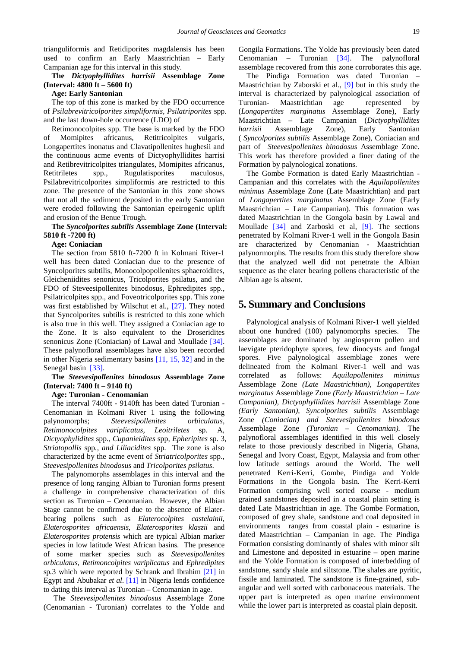trianguliformis and Retidiporites magdalensis has been used to confirm an Early Maastrichtian – Early Campanian age for this interval in this study.

## **The** *Dictyophyllidites harrisii* **Assemblage Zone (Interval: 4800 ft – 5600 ft)**

#### **Age: Early Santonian**

The top of this zone is marked by the FDO occurrence of *Psilabrevitricolporites simpliformis, Psilatriporites* spp. and the last down-hole occurrence (LDO) of

Retimonocolpites spp. The base is marked by the FDO of Momipites africanus, Retitricolpites vulgaris, Longapertites inonatus and Clavatipollenites hughesii and the continuous acme events of Dictyophyllidites harrisi and Retibrevitricolpites triangulates, Momipites africanus, Retitriletes spp., Rugulatisporites maculosus, Psilabrevitricolporites simpliformis are restricted to this zone. The presence of the Santonian in this zone shows that not all the sediment deposited in the early Santonian were eroded following the Santonian epeirogenic uplift and erosion of the Benue Trough.

#### **The** *Syncolporites subtilis* **Assemblage Zone (Interval: 5810 ft -7200 ft)**

#### **Age: Coniacian**

The section from 5810 ft-7200 ft in Kolmani River-1 well has been dated Coniacian due to the presence of Syncolporites subtilis, Monocolpopollenites sphaeroidites, Gleicheniidites senonicus, Tricolporites psilatus, and the FDO of Steveesipollenites binodosus, Ephredipites spp., Psilatricolpites spp., and Foveotricolporites spp. This zone was first established by Wilschut et al., [\[27\].](#page-6-11) They noted that Syncolporites subtilis is restricted to this zone which is also true in this well. They assigned a Coniacian age to the Zone. It is also equivalent to the Droseridites senonicus Zone (Coniacian) of Lawal and Moullade [\[34\].](#page-6-17) These palynofloral assemblages have also been recorded in other Nigeria sedimentary basins [\[11, 15, 32\]](#page-6-3) and in the Senegal basin [\[33\].](#page-6-18)

## **The** *Steevesipollenites binodosus* **Assemblage Zone (Interval: 7400 ft – 9140 ft)**

#### **Age: Turonian - Cenomanian**

The interval 7400ft - 9140ft has been dated Turonian - Cenomanian in Kolmani River 1 using the following palynomorphs; *Steevesipollenites orbiculatus, Retimonocolpites variplicatus, Leoitriletes* sp. A*, Dictyophylidites* spp*., Cupanieidites* spp*, Epheripites* sp. 3*, Striatopollis* spp*., and Liliacidites* spp*.* The zone is also characterized by the acme event of *Striatricolporites* spp.*, Steevesipollenites binodosus* and *Tricolporites psilatus*.

The palynomorphs assemblages in this interval and the presence of long ranging Albian to Turonian forms present a challenge in comprehensive characterization of this section as Turonian – Cenomanian. However, the Albian Stage cannot be confirmed due to the absence of Elaterbearing pollens such as *Elaterocolpites castelainii*, *Elaterosporites africaensis*, *Elaterosporites klaszii* and *Elaterosporites protensis* which are typical Albian marker species in low latitude West African basins. The presence of some marker species such as *Steevesipollenites orbiculatus, Retimoncolpites variplicatus* and *Ephredipites*  sp*.*3 which were reported by Schrank and Ibrahim [\[21\]](#page-6-19) in Egypt and Abubakar *et al*. [\[11\]](#page-6-3) in Nigeria lends confidence to dating this interval as Turonian – Cenomanian in age.

The *Steevesipollenites binodosus* Assemblage Zone (Cenomanian - Turonian) correlates to the Yolde and Gongila Formations. The Yolde has previously been dated Cenomanian – Turonian [\[34\].](#page-6-17) The palynofloral assemblage recovered from this zone corroborates this age.

The Pindiga Formation was dated Turonian – Maastrichtian by Zaborski et al., [\[9\]](#page-6-1) but in this study the interval is characterized by palynological association of Turonian- Maastrichtian age represented by (*Longapertites marginatus* Assemblage Zone), Early Maastrichtian – Late Campanian (*Dictyophyllidites harrisii* Assemblage Zone), Early Santonian ( *Syncolporites subtilis* Assemblage Zone), Coniacian and part of *Steevesipollenites binodosus* Assemblage Zone. This work has therefore provided a finer dating of the Formation by palynological zonations.

The Gombe Formation is dated Early Maastrichtian - Campanian and this correlates with the *Aquilapollenites minimus* Assemblage Zone (Late Maastrichtian) and part of *Longapertites marginatus* Assemblage Zone (Early Maastrichtian – Late Campanian). This formation was dated Maastrichtian in the Gongola basin by Lawal and Moullade [\[34\]](#page-6-17) and Zarboski et al, [\[9\].](#page-6-1) The sections penetrated by Kolmani River-1 well in the Gongola Basin are characterized by Cenomanian - Maastrichtian palynormorphs. The results from this study therefore show that the analyzed well did not penetrate the Albian sequence as the elater bearing pollens characteristic of the Albian age is absent.

## **5. Summary and Conclusions**

Palynological analysis of Kolmani River-1 well yielded about one hundred (100) palynomorphs species. The assemblages are dominated by angiosperm pollen and laevigate pteridophyte spores, few dinocysts and fungal spores. Five palynological assemblage zones were delineated from the Kolmani River-1 well and was correlated as follows: *Aquilapollenites minimus*  Assemblage Zone *(Late Maastrichtian), Longapertites marginatus* Assemblage Zone *(Early Maastrichtian – Late Campanian), Dictyophyllidites harrisii* Assemblage Zone *(Early Santonian), Syncolporites subtilis* Assemblage Zone *(Coniacian) and Steevesipollenites binodosus*  Assemblage Zone *(Turonian – Cenomanian).* The palynofloral assemblages identified in this well closely relate to those previously described in Nigeria, Ghana, Senegal and Ivory Coast, Egypt, Malaysia and from other low latitude settings around the World. The well penetrated Kerri-Kerri, Gombe, Pindiga and Yolde Formations in the Gongola basin. The Kerri-Kerri Formation comprising well sorted coarse - medium grained sandstones deposited in a coastal plain setting is dated Late Maastrichtian in age. The Gombe Formation, composed of grey shale, sandstone and coal deposited in environments ranges from coastal plain - estuarine is dated Maastrichtian – Campanian in age. The Pindiga Formation consisting dominantly of shales with minor silt and Limestone and deposited in estuarine – open marine and the Yolde Formation is composed of interbedding of sandstone, sandy shale and siltstone. The shales are pyritic, fissile and laminated. The sandstone is fine-grained, subangular and well sorted with carbonaceous materials. The upper part is interpreted as open marine environment while the lower part is interpreted as coastal plain deposit.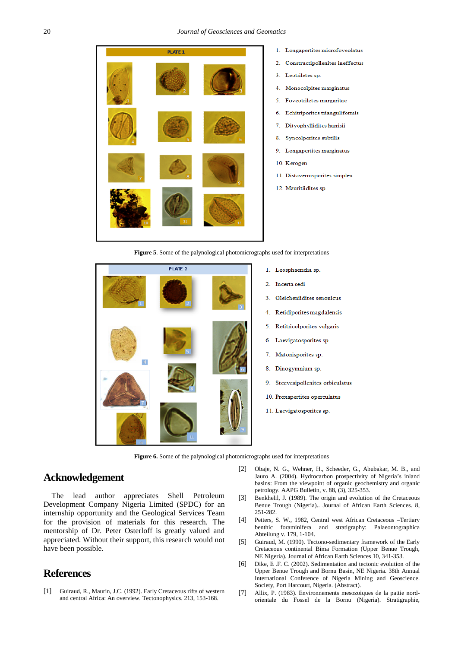

- 1. Longapertites microfoveolatus
- $\overline{2}$ Constructipollenites ineffectus
- Leotriletes sp  $\overline{3}$
- Monocolpites marginatus  $4.$
- $\leq$ Foveotriletes margaritae
- Echitriporites trianguliformis 6
- $\overline{7}$ Dityophyllidites harrisii
- 8 Syncolporites subtilis
- $\overline{9}$ Longapertites marginatus
- 10. Kerogen
- 11. Distaverrusporites simplex
- 12. Mauritiidites sp.

**Figure 5**. Some of the palynological photomicrographs used for interpretations



- 1. Leosphaeridia sp.
- Incerta sedi
- Gleicheniidites senonicus
- Retidiporites magdalensis
- Retitricolporites vulgaris
- Laevigatosporites sp.
- Matonisporites sp.
- 8. Dinogymnium sp.
- 9. Steevesipollenites orbiculatus
- 10. Proxapertites operculatus
- 11. Laevigatosporites sp.

**Figure 6.** Some of the palynological photomicrographs used for interpretations

## **Acknowledgement**

The lead author appreciates Shell Petroleum Development Company Nigeria Limited (SPDC) for an internship opportunity and the Geological Services Team for the provision of materials for this research. The mentorship of Dr. Peter Osterloff is greatly valued and appreciated. Without their support, this research would not have been possible.

## **References**

<span id="page-5-0"></span>[1] Guiraud, R., Maurin, J.C. (1992). Early Cretaceous rifts of western and central Africa: An overview. Tectonophysics. 213, 153-168.

- <span id="page-5-4"></span>[2] Obaje, N. G., Wehner, H., Scheeder, G., Abubakar, M. B., and Jauro A. (2004). Hydrocarbon prospectivity of Nigeria's inland basins: From the viewpoint of organic geochemistry and organic petrology. AAPG Bulletin, v. 88, (3), 325-353.
- <span id="page-5-1"></span>[3] Benkhelil, J. (1989). The origin and evolution of the Cretaceous Benue Trough (Nigeria).. Journal of African Earth Sciences. 8, 251-282.
- <span id="page-5-2"></span>[4] Petters, S. W., 1982, Central west African Cretaceous –Tertiary benthic foraminifera and stratigraphy: Palaeontographica Abteilung v. 179, 1-104.
- <span id="page-5-3"></span>[5] Guiraud, M. (1990). Tectono-sedimentary framework of the Early Cretaceous continental Bima Formation (Upper Benue Trough, NE Nigeria). Journal of African Earth Sciences 10, 341-353.
- [6] Dike, E .F. C. (2002). Sedimentation and tectonic evolution of the Upper Benue Trough and Bornu Basin, NE Nigeria. 38th Annual International Conference of Nigeria Mining and Geoscience. Society, Port Harcourt, Nigeria. (Abstract).
- <span id="page-5-5"></span>[7] Allix, P. (1983). Environnements mesozoiques de la pattie nordorientale du Fossel de la Bornu (Nigeria). Stratigraphie,